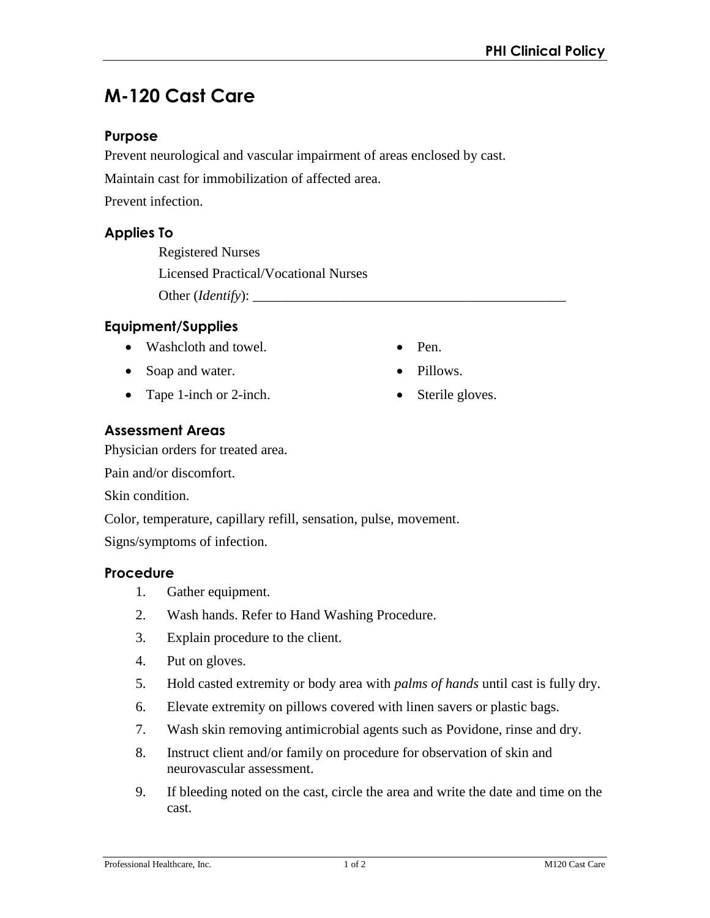# **M-120 Cast Care**

# **Purpose**

Prevent neurological and vascular impairment of areas enclosed by cast.

Maintain cast for immobilization of affected area.

Prevent infection.

## **Applies To**

Registered Nurses Licensed Practical/Vocational Nurses Other (*Identify*): \_\_\_\_\_\_\_\_\_\_\_\_\_\_\_\_\_\_\_\_\_\_\_\_\_\_\_\_\_\_\_\_\_\_\_\_\_\_\_\_\_\_\_\_\_

# **Equipment/Supplies**

- Washcloth and towel.
- Soap and water.
- Tape 1-inch or 2-inch.
- Pen.
- Pillows.
- Sterile gloves.

# **Assessment Areas**

Physician orders for treated area.

Pain and/or discomfort.

Skin condition.

Color, temperature, capillary refill, sensation, pulse, movement.

Signs/symptoms of infection.

#### **Procedure**

- 1. Gather equipment.
- 2. Wash hands. Refer to Hand Washing Procedure.
- 3. Explain procedure to the client.
- 4. Put on gloves.
- 5. Hold casted extremity or body area with *palms of hands* until cast is fully dry.
- 6. Elevate extremity on pillows covered with linen savers or plastic bags.
- 7. Wash skin removing antimicrobial agents such as Povidone, rinse and dry.
- 8. Instruct client and/or family on procedure for observation of skin and neurovascular assessment.
- 9. If bleeding noted on the cast, circle the area and write the date and time on the cast.